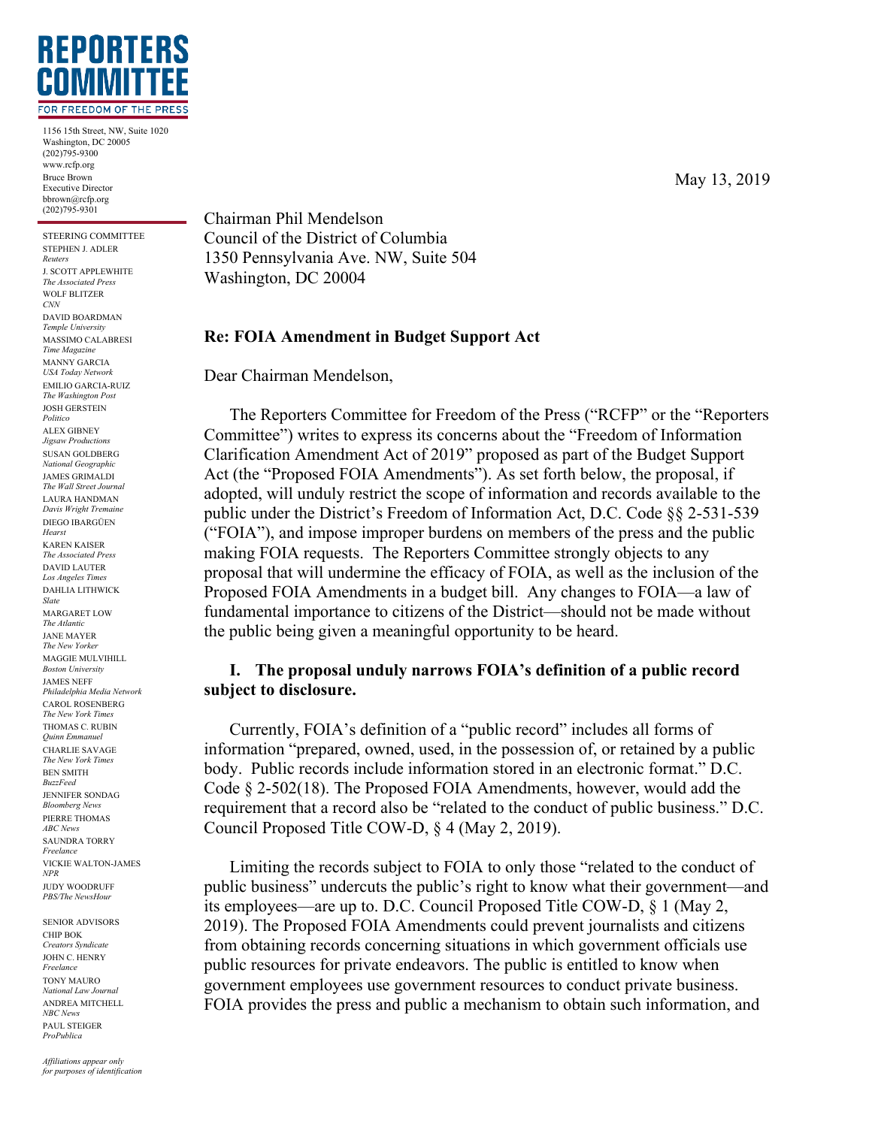

1156 15th Street, NW, Suite 1020 Washington, DC 20005 (202)795-9300 www.rcfp.org Bruce Brown Executive Director bbrown@rcfp.org  $(202)795-9301$ 

STEERING COMMITTEE STEPHEN J. ADLER *Reuters* J. SCOTT APPLEWHITE *The Associated Press* WOLF BLITZER *CNN* DAVID BOARDMAN *Temple University* MASSIMO CALABRESI *Time Magazine* MANNY GARCIA *USA Today Network* EMILIO GARCIA-RUIZ *The Washington Post* JOSH GERSTEIN *Politico* ALEX GIBNEY *Jigsaw Productions* SUSAN GOLDBERG *National Geographic* JAMES GRIMALDI *The Wall Street Journal* LAURA HANDMAN *Davis Wright Tremaine* DIEGO IBARGÜEN *Hearst* KAREN KAISER *The Associated Press* DAVID LAUTER *Los Angeles Times* DAHLIA LITHWICK *Slate* MARGARET LOW *The Atlantic* JANE MAYER *The New Yorker* MAGGIE MULVIHILL *Boston University* JAMES NEFF *Philadelphia Media Network* CAROL ROSENBERG *The New York Times* THOMAS C. RUBIN *Quinn Emmanuel*

CHARLIE SAVAGE *The New York Times* BEN SMITH *BuzzFeed* JENNIFER SONDAG *Bloomberg News* PIERRE THOMAS *ABC News* SAUNDRA TORRY *Freelance* VICKIE WALTON-JAMES *NPR* JUDY WOODRUFF *PBS/The NewsHour*

SENIOR ADVISORS CHIP BOK *Creators Syndicate* JOHN C. HENRY *Freelance* TONY MAURO *National Law Journal* ANDREA MITCHELL *NBC News* PAUL STEIGER *ProPublica*

Chairman Phil Mendelson Council of the District of Columbia 1350 Pennsylvania Ave. NW, Suite 504 Washington, DC 20004

## **Re: FOIA Amendment in Budget Support Act**

Dear Chairman Mendelson,

The Reporters Committee for Freedom of the Press ("RCFP" or the "Reporters Committee") writes to express its concerns about the "Freedom of Information Clarification Amendment Act of 2019" proposed as part of the Budget Support Act (the "Proposed FOIA Amendments"). As set forth below, the proposal, if adopted, will unduly restrict the scope of information and records available to the public under the District's Freedom of Information Act, D.C. Code §§ 2-531-539 ("FOIA"), and impose improper burdens on members of the press and the public making FOIA requests. The Reporters Committee strongly objects to any proposal that will undermine the efficacy of FOIA, as well as the inclusion of the Proposed FOIA Amendments in a budget bill. Any changes to FOIA—a law of fundamental importance to citizens of the District—should not be made without the public being given a meaningful opportunity to be heard.

## **I. The proposal unduly narrows FOIA's definition of a public record subject to disclosure.**

Currently, FOIA's definition of a "public record" includes all forms of information "prepared, owned, used, in the possession of, or retained by a public body. Public records include information stored in an electronic format." D.C. Code § 2-502(18). The Proposed FOIA Amendments, however, would add the requirement that a record also be "related to the conduct of public business." D.C. Council Proposed Title COW-D, § 4 (May 2, 2019).

Limiting the records subject to FOIA to only those "related to the conduct of public business" undercuts the public's right to know what their government—and its employees—are up to. D.C. Council Proposed Title COW-D, § 1 (May 2, 2019). The Proposed FOIA Amendments could prevent journalists and citizens from obtaining records concerning situations in which government officials use public resources for private endeavors. The public is entitled to know when government employees use government resources to conduct private business. FOIA provides the press and public a mechanism to obtain such information, and

May 13, 2019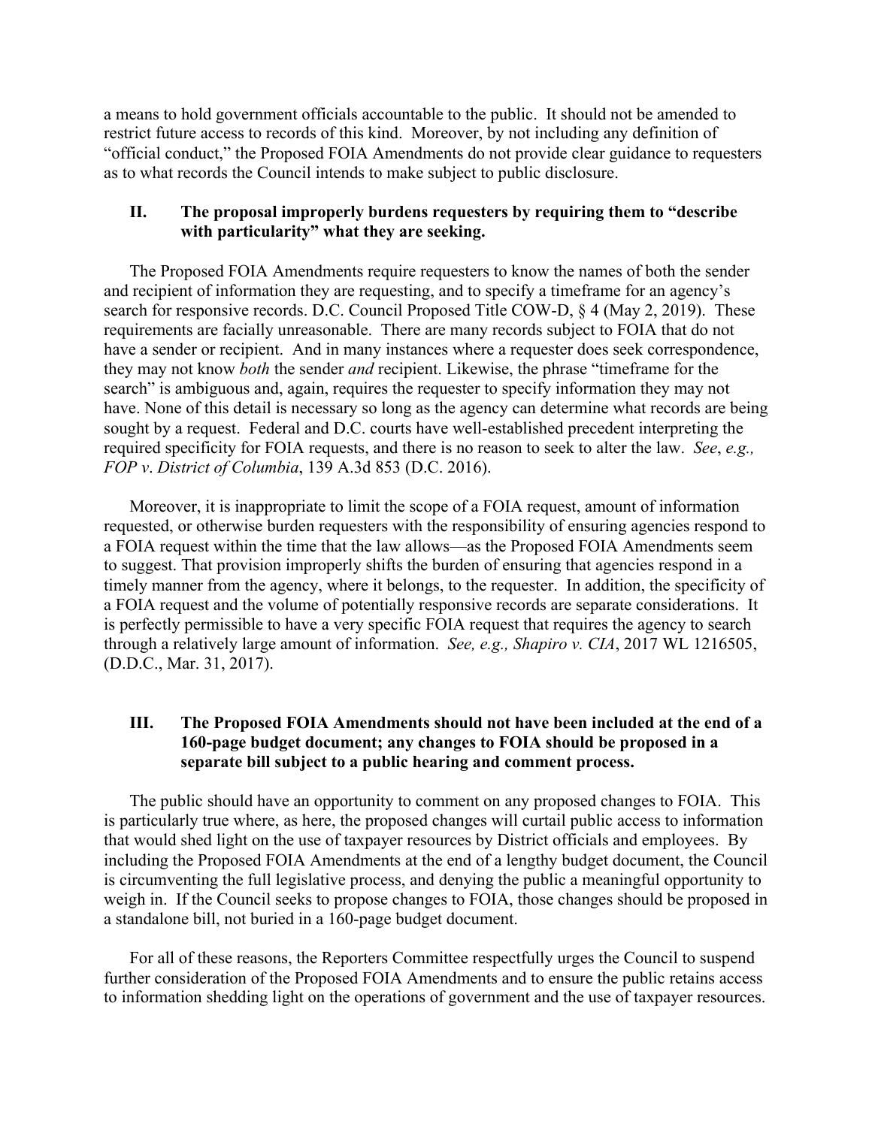a means to hold government officials accountable to the public. It should not be amended to restrict future access to records of this kind. Moreover, by not including any definition of "official conduct," the Proposed FOIA Amendments do not provide clear guidance to requesters as to what records the Council intends to make subject to public disclosure.

## **II. The proposal improperly burdens requesters by requiring them to "describe with particularity" what they are seeking.**

The Proposed FOIA Amendments require requesters to know the names of both the sender and recipient of information they are requesting, and to specify a timeframe for an agency's search for responsive records. D.C. Council Proposed Title COW-D, § 4 (May 2, 2019). These requirements are facially unreasonable. There are many records subject to FOIA that do not have a sender or recipient. And in many instances where a requester does seek correspondence, they may not know *both* the sender *and* recipient. Likewise, the phrase "timeframe for the search" is ambiguous and, again, requires the requester to specify information they may not have. None of this detail is necessary so long as the agency can determine what records are being sought by a request. Federal and D.C. courts have well-established precedent interpreting the required specificity for FOIA requests, and there is no reason to seek to alter the law. *See*, *e.g., FOP v*. *District of Columbia*, 139 A.3d 853 (D.C. 2016).

Moreover, it is inappropriate to limit the scope of a FOIA request, amount of information requested, or otherwise burden requesters with the responsibility of ensuring agencies respond to a FOIA request within the time that the law allows—as the Proposed FOIA Amendments seem to suggest. That provision improperly shifts the burden of ensuring that agencies respond in a timely manner from the agency, where it belongs, to the requester. In addition, the specificity of a FOIA request and the volume of potentially responsive records are separate considerations. It is perfectly permissible to have a very specific FOIA request that requires the agency to search through a relatively large amount of information. *See, e.g., Shapiro v. CIA*, 2017 WL 1216505, (D.D.C., Mar. 31, 2017).

## **III. The Proposed FOIA Amendments should not have been included at the end of a 160-page budget document; any changes to FOIA should be proposed in a separate bill subject to a public hearing and comment process.**

The public should have an opportunity to comment on any proposed changes to FOIA. This is particularly true where, as here, the proposed changes will curtail public access to information that would shed light on the use of taxpayer resources by District officials and employees. By including the Proposed FOIA Amendments at the end of a lengthy budget document, the Council is circumventing the full legislative process, and denying the public a meaningful opportunity to weigh in. If the Council seeks to propose changes to FOIA, those changes should be proposed in a standalone bill, not buried in a 160-page budget document.

For all of these reasons, the Reporters Committee respectfully urges the Council to suspend further consideration of the Proposed FOIA Amendments and to ensure the public retains access to information shedding light on the operations of government and the use of taxpayer resources.